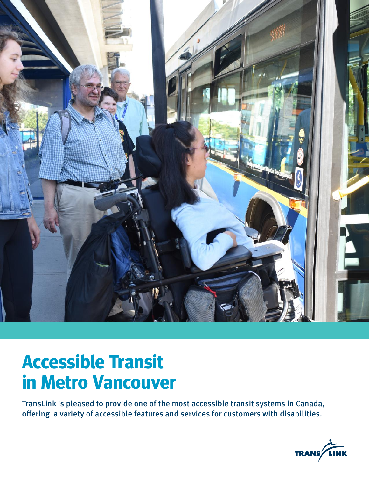

# **Accessible Transit in Metro Vancouver**

TransLink is pleased to provide one of the most accessible transit systems in Canada, offering a variety of accessible features and services for customers with disabilities.

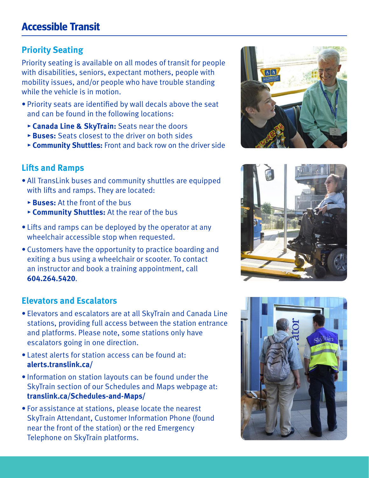# **Priority Seating**

Priority seating is available on all modes of transit for people with disabilities, seniors, expectant mothers, people with mobility issues, and/or people who have trouble standing while the vehicle is in motion.

- Priority seats are identified by wall decals above the seat and can be found in the following locations:
	- ▸ **Canada Line & SkyTrain:** Seats near the doors
	- ▸ **Buses:** Seats closest to the driver on both sides
	- ▸ **Community Shuttles:** Front and back row on the driver side

# **Lifts and Ramps**

- All TransLink buses and community shuttles are equipped with lifts and ramps. They are located:
	- ▸ **Buses:** At the front of the bus
	- ▸ **Community Shuttles:** At the rear of the bus
- Lifts and ramps can be deployed by the operator at any wheelchair accessible stop when requested.
- Customers have the opportunity to practice boarding and exiting a bus using a wheelchair or scooter. To contact an instructor and book a training appointment, call **604.264.5420**.

# **Elevators and Escalators**

- Elevators and escalators are at all SkyTrain and Canada Line stations, providing full access between the station entrance and platforms. Please note, some stations only have escalators going in one direction.
- Latest alerts for station access can be found at: **alerts.translink.ca/**
- Information on station layouts can be found under the SkyTrain section of our Schedules and Maps webpage at: **translink.ca/Schedules-and-Maps/**
- For assistance at stations, please locate the nearest SkyTrain Attendant, Customer Information Phone (found near the front of the station) or the red Emergency Telephone on SkyTrain platforms.





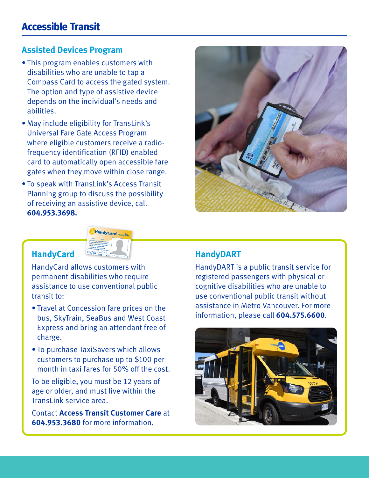## **Assisted Devices Program**

- This program enables customers with disabilities who are unable to tap a Compass Card to access the gated system. The option and type of assistive device depends on the individual's needs and abilities.
- May include eligibility for TransLink's Universal Fare Gate Access Program where eligible customers receive a radiofrequency identification (RFID) enabled card to automatically open accessible fare gates when they move within close range.
- To speak with TransLink's Access Transit Planning group to discuss the possibility of receiving an assistive device, call **604.953.3698.**



## **HandyCard**



HandyCard allows customers with permanent disabilities who require assistance to use conventional public transit to:

- Travel at Concession fare prices on the bus, SkyTrain, SeaBus and West Coast Express and bring an attendant free of charge.
- To purchase TaxiSavers which allows customers to purchase up to \$100 per month in taxi fares for 50% off the cost.

To be eligible, you must be 12 years of age or older, and must live within the TransLink service area.

Contact **Access Transit Customer Care** at **604.953.3680** for more information.

## **HandyDART**

HandyDART is a public transit service for registered passengers with physical or cognitive disabilities who are unable to use conventional public transit without assistance in Metro Vancouver. For more information, please call **604.575.6600**.

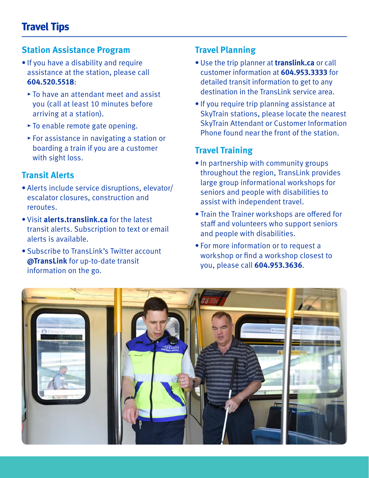## **Station Assistance Program**

- If you have a disability and require assistance at the station, please call **604.520.5518**:
	- ▸ To have an attendant meet and assist you (call at least 10 minutes before arriving at a station).
	- ▸ To enable remote gate opening.
	- ▸ For assistance in navigating a station or boarding a train if you are a customer with sight loss.

# **Transit Alerts**

- Alerts include service disruptions, elevator/ escalator closures, construction and reroutes.
- Visit **alerts.translink.ca** for the latest transit alerts. Subscription to text or email alerts is available.
- Subscribe to TransLink's Twitter account **@TransLink** for up-to-date transit information on the go.

## **Travel Planning**

- Use the trip planner at **translink.ca** or call customer information at **604.953.3333** for detailed transit information to get to any destination in the TransLink service area.
- If you require trip planning assistance at SkyTrain stations, please locate the nearest SkyTrain Attendant or Customer Information Phone found near the front of the station.

# **Travel Training**

- In partnership with community groups throughout the region, TransLink provides large group informational workshops for seniors and people with disabilities to assist with independent travel.
- Train the Trainer workshops are offered for staff and volunteers who support seniors and people with disabilities.
- For more information or to request a workshop or find a workshop closest to you, please call **604.953.3636**.

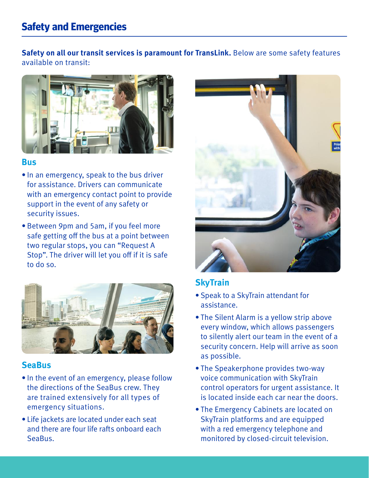# **Safety and Emergencies**

**Safety on all our transit services is paramount for TransLink.** Below are some safety features available on transit:



#### **Bus**

- In an emergency, speak to the bus driver for assistance. Drivers can communicate with an emergency contact point to provide support in the event of any safety or security issues.
- Between 9pm and 5am, if you feel more safe getting off the bus at a point between two regular stops, you can "Request A Stop". The driver will let you off if it is safe to do so.



#### **SeaBus**

- In the event of an emergency, please follow the directions of the SeaBus crew. They are trained extensively for all types of emergency situations.
- Life jackets are located under each seat and there are four life rafts onboard each SeaBus.



## **SkyTrain**

- Speak to a SkyTrain attendant for assistance.
- The Silent Alarm is a yellow strip above every window, which allows passengers to silently alert our team in the event of a security concern. Help will arrive as soon as possible.
- The Speakerphone provides two-way voice communication with SkyTrain control operators for urgent assistance. It is located inside each car near the doors.
- The Emergency Cabinets are located on SkyTrain platforms and are equipped with a red emergency telephone and monitored by closed-circuit television.